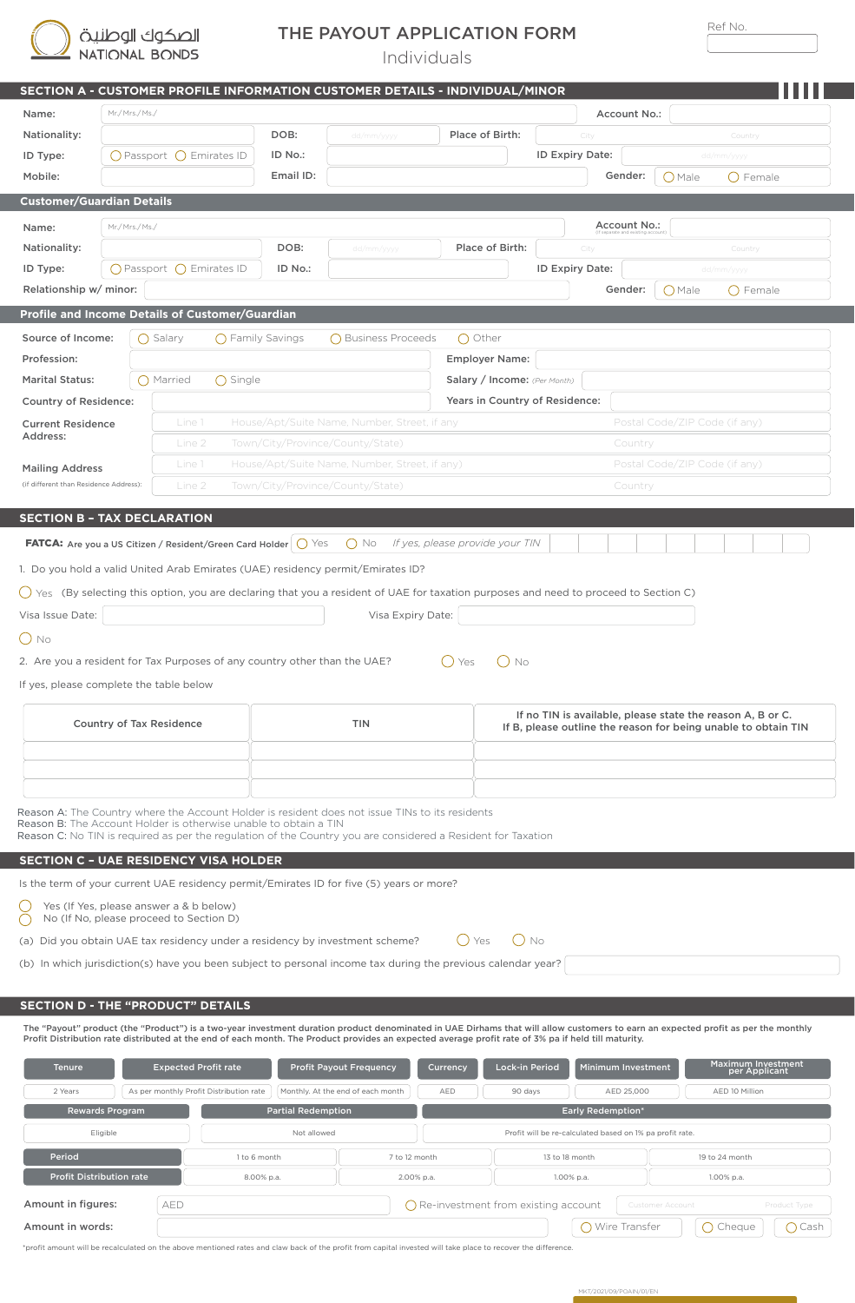| الصكوك الوطنية |
|----------------|
| NATIONAL BONDS |

T.

ī

## THE PAYOUT APPLICATION FORM

Individuals

| $\sim$ | $\sim$ |  |
|--------|--------|--|
|        |        |  |

|                                         |                                 |                                                                           |                           | SECTION A - CUSTOMER PROFILE INFORMATION CUSTOMER DETAILS - INDIVIDUAL/MINOR                                                                                                      |                                               |                                |                                                                                                                              |                               |                                     |  |
|-----------------------------------------|---------------------------------|---------------------------------------------------------------------------|---------------------------|-----------------------------------------------------------------------------------------------------------------------------------------------------------------------------------|-----------------------------------------------|--------------------------------|------------------------------------------------------------------------------------------------------------------------------|-------------------------------|-------------------------------------|--|
| Name:                                   | Mr./ Mrs./ Ms./                 |                                                                           |                           |                                                                                                                                                                                   |                                               |                                | Account No.:                                                                                                                 |                               |                                     |  |
| Nationality:                            |                                 |                                                                           | DOB:                      | dd/mm/yyyy                                                                                                                                                                        | Place of Birth:                               |                                | City                                                                                                                         |                               | Country                             |  |
| ID Type:                                |                                 | $\bigcirc$ Passport $\bigcirc$ Emirates ID                                | ID No.:                   |                                                                                                                                                                                   |                                               |                                | ID Expiry Date:                                                                                                              |                               | dd/mm/yyyy                          |  |
| Mobile:                                 |                                 |                                                                           | Email ID:                 |                                                                                                                                                                                   |                                               |                                | Gender:                                                                                                                      | $O$ Male                      | $\bigcirc$ Female                   |  |
| <b>Customer/Guardian Details</b>        |                                 |                                                                           |                           |                                                                                                                                                                                   |                                               |                                |                                                                                                                              |                               |                                     |  |
| Name:                                   | Mr./ Mrs./ Ms./                 |                                                                           |                           |                                                                                                                                                                                   |                                               |                                | Account No.:                                                                                                                 |                               |                                     |  |
| Nationality:                            |                                 |                                                                           | DOB:                      | dd/mm/yyyy                                                                                                                                                                        | Place of Birth:                               |                                | City                                                                                                                         |                               | Country                             |  |
| ID Type:                                |                                 | $\bigcirc$ Passport $\bigcirc$ Emirates ID                                | ID No.:                   |                                                                                                                                                                                   |                                               |                                | ID Expiry Date:                                                                                                              |                               | dd/mm/yyyy                          |  |
| Relationship w/ minor:                  |                                 |                                                                           |                           |                                                                                                                                                                                   |                                               |                                | Gender:                                                                                                                      | () Male                       | () Female                           |  |
|                                         |                                 | Profile and Income Details of Customer/Guardian                           |                           |                                                                                                                                                                                   |                                               |                                |                                                                                                                              |                               |                                     |  |
| Source of Income:                       |                                 | ◯ Salary                                                                  | $\bigcap$ Family Savings  | ◯ Business Proceeds                                                                                                                                                               | ◯ Other                                       |                                |                                                                                                                              |                               |                                     |  |
| Profession:                             |                                 |                                                                           |                           |                                                                                                                                                                                   | <b>Employer Name:</b>                         |                                |                                                                                                                              |                               |                                     |  |
| <b>Marital Status:</b>                  |                                 | () Married<br>◯ Single                                                    |                           |                                                                                                                                                                                   |                                               | Salary / Income: (Per Month)   |                                                                                                                              |                               |                                     |  |
| <b>Country of Residence:</b>            |                                 |                                                                           |                           |                                                                                                                                                                                   |                                               | Years in Country of Residence: |                                                                                                                              |                               |                                     |  |
| <b>Current Residence</b>                |                                 | Line 1                                                                    |                           | House/Apt/Suite Name, Number, Street, if any                                                                                                                                      |                                               |                                |                                                                                                                              | Postal Code/ZIP Code (if any) |                                     |  |
| Address:                                |                                 | Line 2                                                                    |                           | Town/City/Province/County/State)                                                                                                                                                  |                                               |                                | Country                                                                                                                      |                               |                                     |  |
| <b>Mailing Address</b>                  |                                 | Line 1                                                                    |                           | House/Apt/Suite Name, Number, Street, if any)                                                                                                                                     |                                               |                                |                                                                                                                              | Postal Code/ZIP Code (if any) |                                     |  |
| (if different than Residence Address):  |                                 | Line 2                                                                    |                           | Town/City/Province/County/State)                                                                                                                                                  |                                               |                                | Country                                                                                                                      |                               |                                     |  |
|                                         |                                 |                                                                           |                           |                                                                                                                                                                                   |                                               |                                |                                                                                                                              |                               |                                     |  |
| <b>SECTION B - TAX DECLARATION</b>      |                                 |                                                                           |                           |                                                                                                                                                                                   |                                               |                                |                                                                                                                              |                               |                                     |  |
|                                         |                                 | FATCA: Are you a US Citizen / Resident/Green Card Holder   O Yes          |                           | $\bigcirc$ No                                                                                                                                                                     | If yes, please provide your TIN               |                                |                                                                                                                              |                               |                                     |  |
|                                         |                                 |                                                                           |                           | 1. Do you hold a valid United Arab Emirates (UAE) residency permit/Emirates ID?                                                                                                   |                                               |                                |                                                                                                                              |                               |                                     |  |
|                                         |                                 |                                                                           |                           | () Yes (By selecting this option, you are declaring that you a resident of UAE for taxation purposes and need to proceed to Section C)                                            |                                               |                                |                                                                                                                              |                               |                                     |  |
| Visa Issue Date:                        |                                 |                                                                           |                           | Visa Expiry Date:                                                                                                                                                                 |                                               |                                |                                                                                                                              |                               |                                     |  |
| $\bigcirc$ No                           |                                 |                                                                           |                           |                                                                                                                                                                                   |                                               |                                |                                                                                                                              |                               |                                     |  |
|                                         |                                 | 2. Are you a resident for Tax Purposes of any country other than the UAE? |                           |                                                                                                                                                                                   | $()$ Yes                                      | () No                          |                                                                                                                              |                               |                                     |  |
| If yes, please complete the table below |                                 |                                                                           |                           |                                                                                                                                                                                   |                                               |                                |                                                                                                                              |                               |                                     |  |
|                                         |                                 |                                                                           |                           |                                                                                                                                                                                   |                                               |                                |                                                                                                                              |                               |                                     |  |
|                                         | Country of Tax Residence        |                                                                           |                           | TIN                                                                                                                                                                               |                                               |                                | If no TIN is available, please state the reason A, B or C.<br>If B, please outline the reason for being unable to obtain TIN |                               |                                     |  |
|                                         |                                 |                                                                           |                           |                                                                                                                                                                                   |                                               |                                |                                                                                                                              |                               |                                     |  |
|                                         |                                 |                                                                           |                           |                                                                                                                                                                                   |                                               |                                |                                                                                                                              |                               |                                     |  |
|                                         |                                 |                                                                           |                           |                                                                                                                                                                                   |                                               |                                |                                                                                                                              |                               |                                     |  |
|                                         |                                 |                                                                           |                           | Reason A: The Country where the Account Holder is resident does not issue TINs to its residents                                                                                   |                                               |                                |                                                                                                                              |                               |                                     |  |
|                                         |                                 | Reason B: The Account Holder is otherwise unable to obtain a TIN          |                           | Reason C: No TIN is required as per the regulation of the Country you are considered a Resident for Taxation                                                                      |                                               |                                |                                                                                                                              |                               |                                     |  |
|                                         |                                 | <b>SECTION C - UAE RESIDENCY VISA HOLDER</b>                              |                           |                                                                                                                                                                                   |                                               |                                |                                                                                                                              |                               |                                     |  |
|                                         |                                 |                                                                           |                           | Is the term of your current UAE residency permit/Emirates ID for five (5) years or more?                                                                                          |                                               |                                |                                                                                                                              |                               |                                     |  |
|                                         |                                 | Yes (If Yes, please answer a & b below)                                   |                           |                                                                                                                                                                                   |                                               |                                |                                                                                                                              |                               |                                     |  |
| ⊖                                       |                                 | No (If No, please proceed to Section D)                                   |                           |                                                                                                                                                                                   |                                               |                                |                                                                                                                              |                               |                                     |  |
|                                         |                                 |                                                                           |                           | (a) Did you obtain UAE tax residency under a residency by investment scheme?                                                                                                      | ( ) Yes                                       | $()$ No                        |                                                                                                                              |                               |                                     |  |
|                                         |                                 |                                                                           |                           | (b) In which jurisdiction(s) have you been subject to personal income tax during the previous calendar year?                                                                      |                                               |                                |                                                                                                                              |                               |                                     |  |
|                                         |                                 |                                                                           |                           |                                                                                                                                                                                   |                                               |                                |                                                                                                                              |                               |                                     |  |
|                                         |                                 | <b>SECTION D - THE "PRODUCT" DETAILS</b>                                  |                           |                                                                                                                                                                                   |                                               |                                |                                                                                                                              |                               |                                     |  |
|                                         |                                 |                                                                           |                           | The "Payout" product (the "Product") is a two-year investment duration product denominated in UAE Dirhams that will allow customers to earn an expected profit as per the monthly |                                               |                                |                                                                                                                              |                               |                                     |  |
|                                         |                                 |                                                                           |                           | Profit Distribution rate distributed at the end of each month. The Product provides an expected average profit rate of 3% pa if held till maturity.                               |                                               |                                |                                                                                                                              |                               |                                     |  |
| <b>Tenure</b>                           |                                 | <b>Expected Profit rate</b>                                               |                           | <b>Profit Payout Frequency</b>                                                                                                                                                    | Currency                                      | Lock-in Period                 | Minimum Investment                                                                                                           |                               | Maximum Investment<br>per Applicant |  |
| 2 Years                                 |                                 | As per monthly Profit Distribution rate                                   |                           | Monthly. At the end of each month                                                                                                                                                 | AED                                           | 90 days                        | AED 25,000                                                                                                                   |                               | AED 10 Million                      |  |
|                                         | <b>Rewards Program</b>          |                                                                           | <b>Partial Redemption</b> |                                                                                                                                                                                   |                                               |                                | <b>Early Redemption*</b>                                                                                                     |                               |                                     |  |
|                                         | Eligible                        |                                                                           | Not allowed               |                                                                                                                                                                                   |                                               |                                | Profit will be re-calculated based on 1% pa profit rate.                                                                     |                               |                                     |  |
| Period                                  |                                 |                                                                           | 1 to 6 month              | 7 to 12 month                                                                                                                                                                     |                                               |                                | 13 to 18 month                                                                                                               |                               | 19 to 24 month                      |  |
|                                         | <b>Profit Distribution rate</b> |                                                                           | 8.00% p.a.                | 2.00% p.a.                                                                                                                                                                        |                                               |                                | 1.00% p.a.                                                                                                                   |                               | 1.00% p.a.                          |  |
| Amount in figures:                      |                                 | AED                                                                       |                           |                                                                                                                                                                                   | $\bigcap$ Re-investment from existing account |                                |                                                                                                                              | <b>Customer Account</b>       | Product Type                        |  |
| Amount in words:                        |                                 |                                                                           |                           |                                                                                                                                                                                   |                                               |                                | ◯ Wire Transfer                                                                                                              |                               | ◯ Cheque<br>$()$ Cash               |  |
|                                         |                                 |                                                                           |                           |                                                                                                                                                                                   |                                               |                                |                                                                                                                              |                               |                                     |  |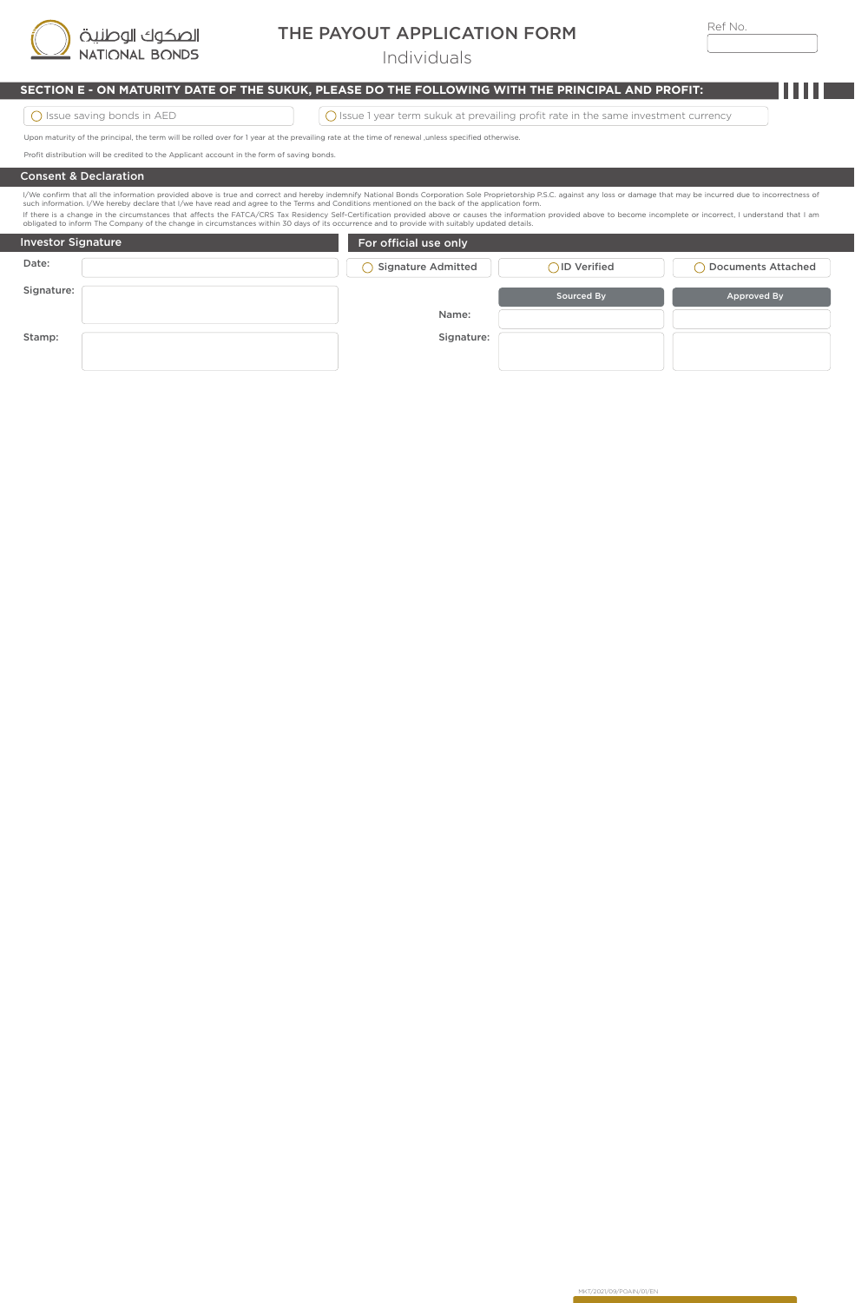

## THE PAYOUT APPLICATION FORM

Individuals

## **SECTION E - ON MATURITY DATE OF THE SUKUK, PLEASE DO THE FOLLOWING WITH THE PRINCIPAL AND PROFIT:**

 $\boxed{\bigcirc}$  Issue Saving bonds in AED  $\boxed{\bigcirc}$  Issue 1 year term sukuk at prevailing profit rate in the same investment currency

MKT/2021/09/POAIN/01/EN

Upon maturity of the principal, the term will be rolled over for 1 year at the prevailing rate at the time of renewal ,unless specified otherwise.

Profit distribution will be credited to the Applicant account in the form of saving bonds.

#### Consent & Declaration

If there is a change in the circumstances that affects the FATCA/CRS Tax Residency Self-Certification provided above or causes the information provided above to become incomplete or incorrect, I understand that I am<br>obliga l/We confirm that all the information provided above is true and correct and hereby indemnify National Bonds Corporation Sole Proprietorship P.S.C. against any loss or damage that may be incurred due to incorrectness of<br>su

| ophyated to imomit the Company of the Change in Circumstances within Jo uays of its occurrence and to provide with suitably updated uetails.<br><b>Investor Signature</b> | For official use only |                   |                    |  |
|---------------------------------------------------------------------------------------------------------------------------------------------------------------------------|-----------------------|-------------------|--------------------|--|
| Date:                                                                                                                                                                     | Signature Admitted    | ○ID Verified      | Documents Attached |  |
| Signature:                                                                                                                                                                |                       | <b>Sourced By</b> | Approved By        |  |
|                                                                                                                                                                           | Name:                 |                   |                    |  |
| Stamp:                                                                                                                                                                    | Signature:            |                   |                    |  |
|                                                                                                                                                                           |                       |                   |                    |  |
|                                                                                                                                                                           |                       |                   |                    |  |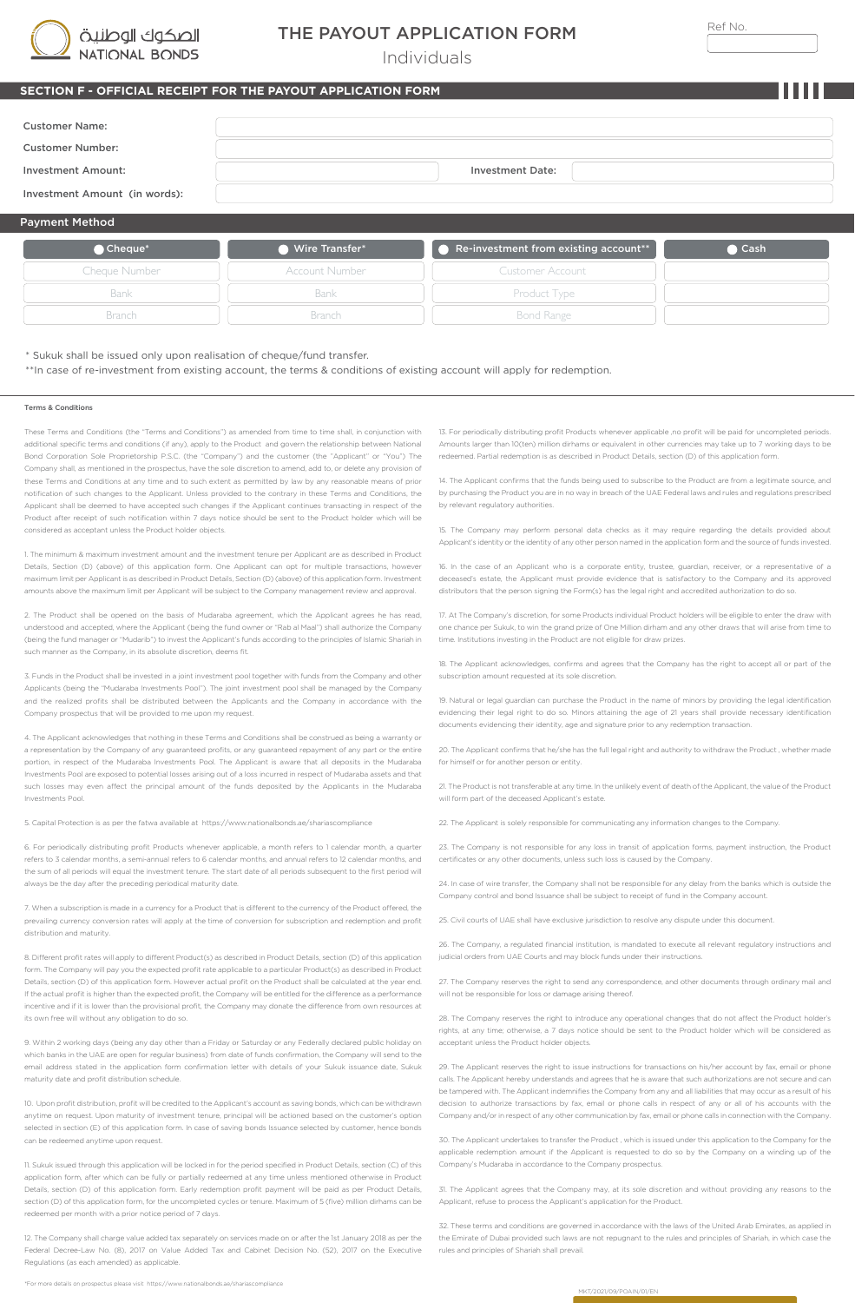| الصكوك الوطنية |
|----------------|
| NATIONAL BONDS |

Bank Branch

## THE PAYOUT APPLICATION FORM

Individuals

### **OFFICIAL RECEIPT FOR THE PAYOUT APPLICATION FORM**

| w  | ۹ |
|----|---|
| ۰. | × |
|    |   |
|    |   |
|    |   |

| <b>Customer Name:</b>         |                       |                                                             |      |
|-------------------------------|-----------------------|-------------------------------------------------------------|------|
| <b>Customer Number:</b>       |                       |                                                             |      |
| Investment Amount:            |                       | <b>Investment Date:</b>                                     |      |
| Investment Amount (in words): |                       |                                                             |      |
| <b>Payment Method</b>         |                       |                                                             |      |
| Cheque*                       | Wire Transfer*        | $\bullet$ Re-investment from existing account <sup>**</sup> | Cash |
| Cheque Number                 | <b>Account Number</b> | <b>Customer Account</b>                                     |      |

#### \* Sukuk shall be issued only upon realisation of cheque/fund transfer. \*\*In case of re-investment from existing account, the terms & conditions of existing account will apply for redemption.

Bank **Branch** 

#### Terms & Conditions

These Terms and Conditions (the "Terms and Conditions") as amended from time to time shall, in conjunction with additional specific terms and conditions (if any), apply to the Product and govern the relationship between National Bond Corporation Sole Proprietorship P.S.C. (the "Company") and the customer (the "Applicant" or "You") The Company shall, as mentioned in the prospectus, have the sole discretion to amend, add to, or delete any provis these Terms and Conditions at any time and to such extent as permitted by law by any reasonable means of prior notification of such changes to the Applicant. Unless provided to the contrary in these Terms and Conditions, the Applicant shall be deemed to have accepted such changes if the Applicant continues transacting in respect of the Product after receipt of such notification within 7 days notice should be sent to the Product holder which will be considered as acceptant unless the Product holder objects.

1. The minimum & maximum investment amount and the investment tenure per Applicant are as described in Product Details, Section (D) (above) of this application form. One Applicant can opt for multiple transactions, however maximum limit per Applicant is as described in Product Details, Section (D) (above) of this application form. Investment amounts above the maximum limit per Applicant will be subject to the Company management review and approval.

2. The Product shall be opened on the basis of Mudaraba agreement, which the Applicant agrees he has read, understood and accepted, where the Applicant (being the fund owner or "Rab al Maal") shall authorize the Company (being the fund manager or "Mudarib") to invest the Applicant's funds according to the principles of Islamic Shariah in such manner as the Company, in its absolute discretion, deems fit.

3. Funds in the Product shall be invested in a joint investment pool together with funds from the Company and other Applicants (being the "Mudaraba Investments Pool"). The joint investment pool shall be managed by the Company and the realized profits shall be distributed between the Applicants and the Company in accordance with the Company prospectus that will be provided to me upon my request.

4. The Applicant acknowledges that nothing in these Terms and Conditions shall be construed as being a warranty or a representation by the Company of any guaranteed profits, or any guaranteed repayment of any part or the entire portion, in respect of the Mudaraba Investments Pool. The Applicant is aware that all deposits in the Mudaraba Investments Pool are exposed to potential losses arising out of a loss incurred in respect of Mudaraba assets and that such losses may even affect the principal amount of the funds deposited by the Applicants in the Mudaraba Investments Pool.

5. Capital Protection is as per the fatwa available at https://www.nationalbonds.ae/shariascompliance

6. For periodically distributing profit Products whenever applicable, a month refers to 1 calendar month, a quarter refers to 3 calendar months, a semi-annual refers to 6 calendar months, and annual refers to 12 calendar months, and the sum of all periods will equal the investment tenure. The start date of all periods subsequent to the first period will always be the day after the preceding periodical maturity date.

7. When a subscription is made in a currency for a Product that is different to the currency of the Product offered, the prevailing currency conversion rates will apply at the time of conversion for subscription and redemption and profit distribution and maturity.

8. Different profit rates will apply to different Product(s) as described in Product Details, section (D) of this application form. The Company will pay you the expected profit rate applicable to a particular Product(s) as described in Product Details, section (D) of this application form. However actual profit on the Product shall be calculated at the year end. If the actual profit is higher than the expected profit, the Company will be entitled for the difference as a performa incentive and if it is lower than the provisional profit, the Company may donate the difference from own resources at its own free will without any obligation to do so.

9. Within 2 working days (being any day other than a Friday or Saturday or any Federally declared public holiday on which banks in the UAE are open for regular business) from date of funds confirmation, the Company will send to the email address stated in the application form confirmation letter with details of your Sukuk issuance date, Sukuk maturity date and profit distribution schedule.

10. Upon profit distribution, profit will be credited to the Applicant's account as saving bonds, which can be withdrawn anytime on request. Upon maturity of investment tenure, principal will be actioned based on the customer's option selected in section (E) of this application form. In case of saving bonds Issuance selected by customer, hence bonds can be redeemed anytime upon request.

11. Sukuk issued through this application will be locked in for the period specified in Product Details, section (C) of this application form, after which can be fully or partially redeemed at any time unless mentioned otherwise in Product Details, section (D) of this application form. Early redemption profit payment will be paid as per Product Details, section (D) of this application form, for the uncompleted cycles or tenure. Maximum of 5 (five) million dirhams can be redeemed per month with a prior notice period of 7 days.

12. The Company shall charge value added tax separately on services made on or after the 1st January 2018 as per the deral Decree-Law No. (8), 2017 on Value Added Tax and Cabinet Decision No. (52), 2017 on the Executive Regulations (as each amended) as applicable.

\*For more details on prospectus please visit https://www.nationalbonds.ae/shariascompliance

13. For periodically distributing profit Products whenever applicable ,no profit will be paid for uncompleted periods. Amounts larger than 10(ten) million dirhams or equivalent in other currencies may take up to 7 working days to be redeemed. Partial redemption is as described in Product Details, section (D) of this application form.

Product Type

14. The Applicant confirms that the funds being used to subscribe to the Product are from a legitimate source, and by purchasing the Product you are in no way in breach of the UAE Federal laws and rules and regulations prescribed by relevant regulatory authorities.

15. The Company may perform personal data checks as it may require regarding the details provided about Applicant's identity or the identity of any other person named in the application form and the source of funds invested.

16. In the case of an Applicant who is a corporate entity, trustee, guardian, receiver, or a representative of a deceased's estate, the Applicant must provide evidence that is satisfactory to the Company and its approved distributors that the person signing the Form(s) has the legal right and accredited authorization to do so.

17. At The Company's discretion, for some Products individual Product holders will be eligible to enter the draw with one chance per Sukuk, to win the grand prize of One Million dirham and any other draws that will arise from time to time. Institutions investing in the Product are not eligible for draw prizes.

18. The Applicant acknowledges, confirms and agrees that the Company has the right to accept all or part of the subscription amount requested at its sole discretion

19. Natural or legal guardian can purchase the Product in the name of minors by providing the legal identification evidencing their legal right to do so. Minors attaining the age of 21 years shall provide necessary identification documents evidencing their identity, age and signature prior to any redemption transaction.

20. The Applicant confirms that he/she has the full legal right and authority to withdraw the Product , whether made for himself or for another person or entity.

21. The Product is not transferable at any time. In the unlikely event of death of the Applicant, the value of the Product will form part of the deceased Applicant's estate.

22. The Applicant is solely responsible for communicating any information changes to the Company.

23. The Company is not responsible for any loss in transit of application forms, payment instruction, the Product certificates or any other documents, unless such loss is caused by the Company.

24. In case of wire transfer, the Company shall not be responsible for any delay from the banks which is outside the Company control and bond Issuance shall be subject to receipt of fund in the Company account.

25. Civil courts of UAE shall have exclusive jurisdiction to resolve any dispute under this docum

26. The Company, a regulated financial institution, is mandated to execute all relevant regulatory instructions and judicial orders from UAE Courts and may block funds under their instructions.

27. The Company reserves the right to send any correspondence, and other documents through ordinary mail and will not be responsible for loss or damage arising thereof.

28. The Company reserves the right to introduce any operational changes that do not affect the Product holder's rights, at any time; otherwise, a 7 days notice should be sent to the Product holder which will be considered as acceptant unless the Product holder objects.

29. The Applicant reserves the right to issue instructions for transactions on his/her account by fax, email or phone calls. The Applicant hereby understands and agrees that he is aware that such authorizations are not secure and can be tampered with. The Applicant indemnifies the Company from any and all liabilities that may occur as a result of his decision to authorize transactions by fax, email or phone calls in respect of any or all of his accounts with the Company and/or in respect of any other communication by fax, email or phone calls in connection with the Company.

30. The Applicant undertakes to transfer the Product , which is issued under this application to the Company for the applicable redemption amount if the Applicant is requested to do so by the Company on a winding up of the Company's Mudaraba in accordance to the Company prospectus.

31. The Applicant agrees that the Company may, at its sole discretion and without providing any reasons to the Applicant, refuse to process the Applicant's application for the Product.

32. These terms and conditions are governed in accordance with the laws of the United Arab Emirates, as applied in the Emirate of Dubai provided such laws are not repugnant to the rules and principles of Shariah, in which case the rules and principles of Shariah shall prevail.